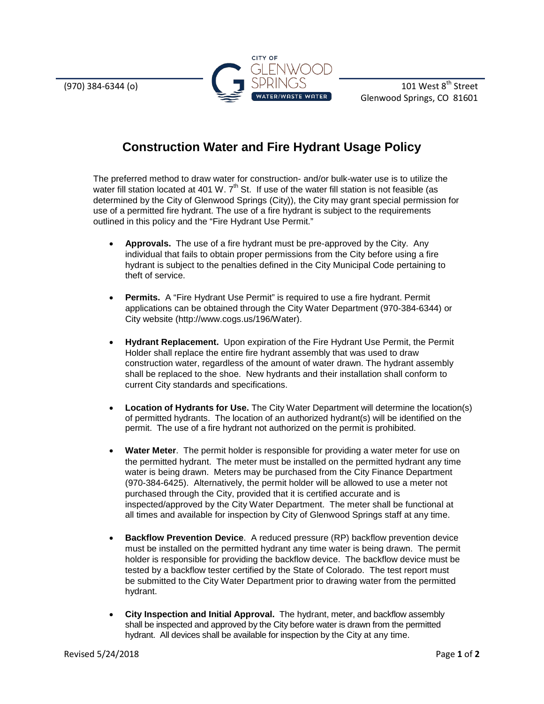

Glenwood Springs, CO 81601

## **Construction Water and Fire Hydrant Usage Policy**

The preferred method to draw water for construction- and/or bulk-water use is to utilize the water fill station located at 401 W.  $7<sup>th</sup>$  St. If use of the water fill station is not feasible (as determined by the City of Glenwood Springs (City)), the City may grant special permission for use of a permitted fire hydrant. The use of a fire hydrant is subject to the requirements outlined in this policy and the "Fire Hydrant Use Permit."

- **Approvals.** The use of a fire hydrant must be pre-approved by the City. Any individual that fails to obtain proper permissions from the City before using a fire hydrant is subject to the penalties defined in the City Municipal Code pertaining to theft of service.
- **Permits.** A "Fire Hydrant Use Permit" is required to use a fire hydrant. Permit applications can be obtained through the City Water Department (970-384-6344) or City website (http://www.cogs.us/196/Water).
- **Hydrant Replacement.** Upon expiration of the Fire Hydrant Use Permit, the Permit Holder shall replace the entire fire hydrant assembly that was used to draw construction water, regardless of the amount of water drawn. The hydrant assembly shall be replaced to the shoe. New hydrants and their installation shall conform to current City standards and specifications.
- **Location of Hydrants for Use.** The City Water Department will determine the location(s) of permitted hydrants. The location of an authorized hydrant(s) will be identified on the permit. The use of a fire hydrant not authorized on the permit is prohibited.
- **Water Meter.** The permit holder is responsible for providing a water meter for use on the permitted hydrant. The meter must be installed on the permitted hydrant any time water is being drawn. Meters may be purchased from the City Finance Department (970-384-6425). Alternatively, the permit holder will be allowed to use a meter not purchased through the City, provided that it is certified accurate and is inspected/approved by the City Water Department. The meter shall be functional at all times and available for inspection by City of Glenwood Springs staff at any time.
- **Backflow Prevention Device**. A reduced pressure (RP) backflow prevention device must be installed on the permitted hydrant any time water is being drawn. The permit holder is responsible for providing the backflow device. The backflow device must be tested by a backflow tester certified by the State of Colorado. The test report must be submitted to the City Water Department prior to drawing water from the permitted hydrant.
- **City Inspection and Initial Approval.** The hydrant, meter, and backflow assembly shall be inspected and approved by the City before water is drawn from the permitted hydrant. All devices shall be available for inspection by the City at any time.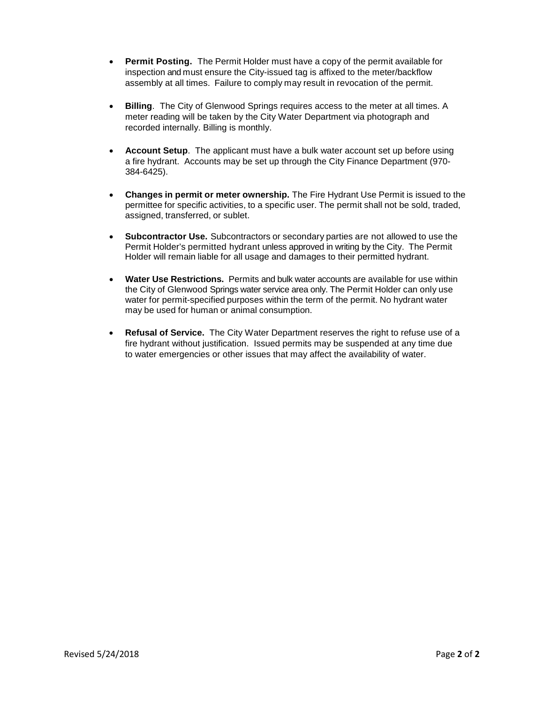- **Permit Posting.** The Permit Holder must have a copy of the permit available for inspection and must ensure the City-issued tag is affixed to the meter/backflow assembly at all times. Failure to comply may result in revocation of the permit.
- **Billing**. The City of Glenwood Springs requires access to the meter at all times. A meter reading will be taken by the City Water Department via photograph and recorded internally. Billing is monthly.
- **Account Setup**. The applicant must have a bulk water account set up before using a fire hydrant. Accounts may be set up through the City Finance Department (970- 384-6425).
- **Changes in permit or meter ownership.** The Fire Hydrant Use Permit is issued to the permittee for specific activities, to a specific user. The permit shall not be sold, traded, assigned, transferred, or sublet.
- **Subcontractor Use.** Subcontractors or secondary parties are not allowed to use the Permit Holder's permitted hydrant unless approved in writing by the City. The Permit Holder will remain liable for all usage and damages to their permitted hydrant.
- **Water Use Restrictions.** Permits and bulk water accounts are available for use within the City of Glenwood Springs water service area only. The Permit Holder can only use water for permit-specified purposes within the term of the permit. No hydrant water may be used for human or animal consumption.
- **Refusal of Service.** The City Water Department reserves the right to refuse use of a fire hydrant without justification. Issued permits may be suspended at any time due to water emergencies or other issues that may affect the availability of water.